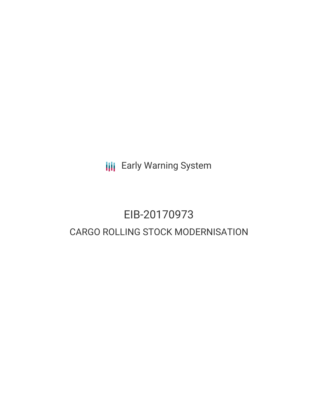**III** Early Warning System

# EIB-20170973 CARGO ROLLING STOCK MODERNISATION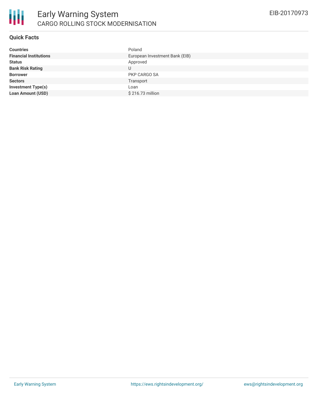

# **Quick Facts**

| <b>Countries</b>              | Poland                         |
|-------------------------------|--------------------------------|
| <b>Financial Institutions</b> | European Investment Bank (EIB) |
| <b>Status</b>                 | Approved                       |
| <b>Bank Risk Rating</b>       | U                              |
| <b>Borrower</b>               | PKP CARGO SA                   |
| <b>Sectors</b>                | Transport                      |
| <b>Investment Type(s)</b>     | Loan                           |
| <b>Loan Amount (USD)</b>      | \$216.73 million               |
|                               |                                |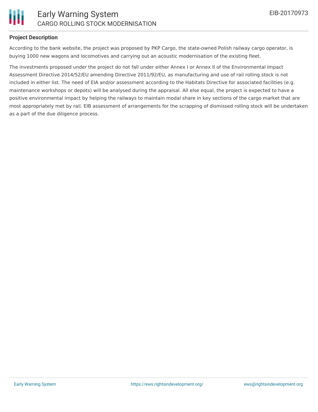

## **Project Description**

According to the bank website, the project was proposed by PKP Cargo, the state-owned Polish railway cargo operator, is buying 1000 new wagons and locomotives and carrying out an acoustic modernisation of the existing fleet.

The investments proposed under the project do not fall under either Annex I or Annex II of the Environmental Impact Assessment Directive 2014/52/EU amending Directive 2011/92/EU, as manufacturing and use of rail rolling stock is not included in either list. The need of EIA and/or assessment according to the Habitats Directive for associated facilities (e.g. maintenance workshops or depots) will be analysed during the appraisal. All else equal, the project is expected to have a positive environmental impact by helping the railways to maintain modal share in key sections of the cargo market that are most appropriately met by rail. EIB assessment of arrangements for the scrapping of dismissed rolling stock will be undertaken as a part of the due diligence process.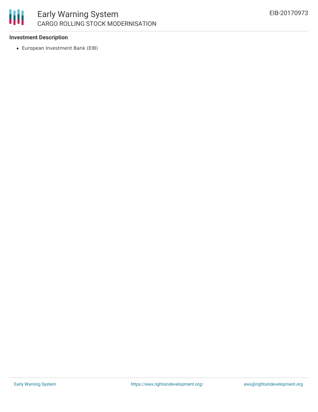

## **Investment Description**

European Investment Bank (EIB)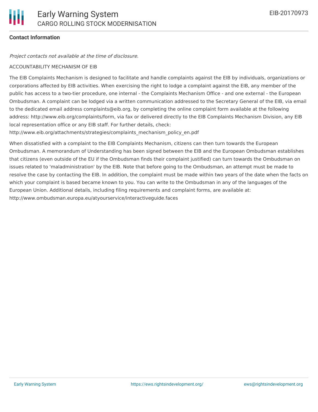# **Contact Information**

#### Project contacts not available at the time of disclosure.

#### ACCOUNTABILITY MECHANISM OF EIB

The EIB Complaints Mechanism is designed to facilitate and handle complaints against the EIB by individuals, organizations or corporations affected by EIB activities. When exercising the right to lodge a complaint against the EIB, any member of the public has access to a two-tier procedure, one internal - the Complaints Mechanism Office - and one external - the European Ombudsman. A complaint can be lodged via a written communication addressed to the Secretary General of the EIB, via email to the dedicated email address complaints@eib.org, by completing the online complaint form available at the following address: http://www.eib.org/complaints/form, via fax or delivered directly to the EIB Complaints Mechanism Division, any EIB local representation office or any EIB staff. For further details, check:

http://www.eib.org/attachments/strategies/complaints\_mechanism\_policy\_en.pdf

When dissatisfied with a complaint to the EIB Complaints Mechanism, citizens can then turn towards the European Ombudsman. A memorandum of Understanding has been signed between the EIB and the European Ombudsman establishes that citizens (even outside of the EU if the Ombudsman finds their complaint justified) can turn towards the Ombudsman on issues related to 'maladministration' by the EIB. Note that before going to the Ombudsman, an attempt must be made to resolve the case by contacting the EIB. In addition, the complaint must be made within two years of the date when the facts on which your complaint is based became known to you. You can write to the Ombudsman in any of the languages of the European Union. Additional details, including filing requirements and complaint forms, are available at: http://www.ombudsman.europa.eu/atyourservice/interactiveguide.faces